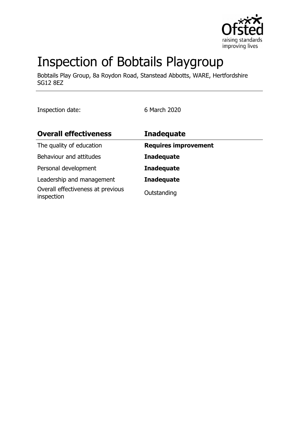

# Inspection of Bobtails Playgroup

Bobtails Play Group, 8a Roydon Road, Stanstead Abbotts, WARE, Hertfordshire SG12 8EZ

Inspection date: 6 March 2020

| <b>Overall effectiveness</b>                    | <b>Inadequate</b>           |
|-------------------------------------------------|-----------------------------|
| The quality of education                        | <b>Requires improvement</b> |
| Behaviour and attitudes                         | <b>Inadequate</b>           |
| Personal development                            | <b>Inadequate</b>           |
| Leadership and management                       | <b>Inadequate</b>           |
| Overall effectiveness at previous<br>inspection | Outstanding                 |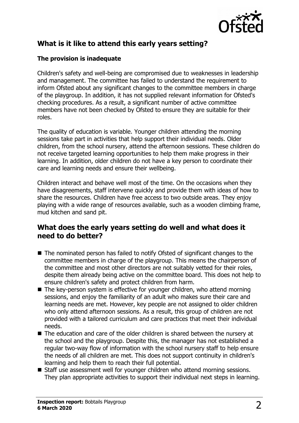

# **What is it like to attend this early years setting?**

#### **The provision is inadequate**

Children's safety and well-being are compromised due to weaknesses in leadership and management. The committee has failed to understand the requirement to inform Ofsted about any significant changes to the committee members in charge of the playgroup. In addition, it has not supplied relevant information for Ofsted's checking procedures. As a result, a significant number of active committee members have not been checked by Ofsted to ensure they are suitable for their roles.

The quality of education is variable. Younger children attending the morning sessions take part in activities that help support their individual needs. Older children, from the school nursery, attend the afternoon sessions. These children do not receive targeted learning opportunities to help them make progress in their learning. In addition, older children do not have a key person to coordinate their care and learning needs and ensure their wellbeing.

Children interact and behave well most of the time. On the occasions when they have disagreements, staff intervene quickly and provide them with ideas of how to share the resources. Children have free access to two outside areas. They enjoy playing with a wide range of resources available, such as a wooden climbing frame, mud kitchen and sand pit.

#### **What does the early years setting do well and what does it need to do better?**

- $\blacksquare$  The nominated person has failed to notify Ofsted of significant changes to the committee members in charge of the playgroup. This means the chairperson of the committee and most other directors are not suitably vetted for their roles, despite them already being active on the committee board. This does not help to ensure children's safety and protect children from harm.
- $\blacksquare$  The key-person system is effective for younger children, who attend morning sessions, and enjoy the familiarity of an adult who makes sure their care and learning needs are met. However, key people are not assigned to older children who only attend afternoon sessions. As a result, this group of children are not provided with a tailored curriculum and care practices that meet their individual needs.
- $\blacksquare$  The education and care of the older children is shared between the nursery at the school and the playgroup. Despite this, the manager has not established a regular two-way flow of information with the school nursery staff to help ensure the needs of all children are met. This does not support continuity in children's learning and help them to reach their full potential.
- Staff use assessment well for younger children who attend morning sessions. They plan appropriate activities to support their individual next steps in learning.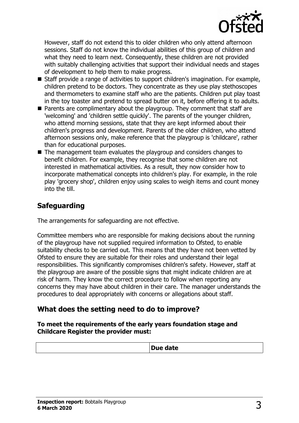

However, staff do not extend this to older children who only attend afternoon sessions. Staff do not know the individual abilities of this group of children and what they need to learn next. Consequently, these children are not provided with suitably challenging activities that support their individual needs and stages of development to help them to make progress.

- Staff provide a range of activities to support children's imagination. For example, children pretend to be doctors. They concentrate as they use play stethoscopes and thermometers to examine staff who are the patients. Children put play toast in the toy toaster and pretend to spread butter on it, before offering it to adults.
- $\blacksquare$  Parents are complimentary about the playgroup. They comment that staff are 'welcoming' and 'children settle quickly'. The parents of the younger children, who attend morning sessions, state that they are kept informed about their children's progress and development. Parents of the older children, who attend afternoon sessions only, make reference that the playgroup is 'childcare', rather than for educational purposes.
- $\blacksquare$  The management team evaluates the playgroup and considers changes to benefit children. For example, they recognise that some children are not interested in mathematical activities. As a result, they now consider how to incorporate mathematical concepts into children's play. For example, in the role play 'grocery shop', children enjoy using scales to weigh items and count money into the till.

## **Safeguarding**

The arrangements for safeguarding are not effective.

Committee members who are responsible for making decisions about the running of the playgroup have not supplied required information to Ofsted, to enable suitability checks to be carried out. This means that they have not been vetted by Ofsted to ensure they are suitable for their roles and understand their legal responsibilities. This significantly compromises children's safety. However, staff at the playgroup are aware of the possible signs that might indicate children are at risk of harm. They know the correct procedure to follow when reporting any concerns they may have about children in their care. The manager understands the procedures to deal appropriately with concerns or allegations about staff.

#### **What does the setting need to do to improve?**

**To meet the requirements of the early years foundation stage and Childcare Register the provider must:**

| . <i>.</i><br><i><b>Due uale</b></i> |
|--------------------------------------|
|                                      |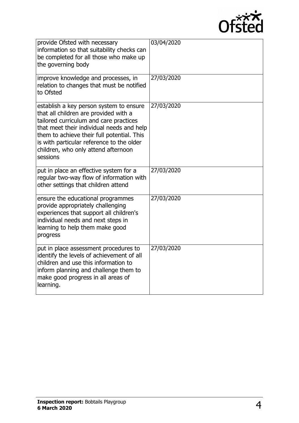

| provide Ofsted with necessary<br>information so that suitability checks can<br>be completed for all those who make up<br>the governing body                                                                                                                                                                           | 03/04/2020 |
|-----------------------------------------------------------------------------------------------------------------------------------------------------------------------------------------------------------------------------------------------------------------------------------------------------------------------|------------|
| improve knowledge and processes, in<br>relation to changes that must be notified<br>to Ofsted                                                                                                                                                                                                                         | 27/03/2020 |
| establish a key person system to ensure<br>that all children are provided with a<br>tailored curriculum and care practices<br>that meet their individual needs and help<br>them to achieve their full potential. This<br>is with particular reference to the older<br>children, who only attend afternoon<br>sessions | 27/03/2020 |
| put in place an effective system for a<br>regular two-way flow of information with<br>other settings that children attend                                                                                                                                                                                             | 27/03/2020 |
| ensure the educational programmes<br>provide appropriately challenging<br>experiences that support all children's<br>individual needs and next steps in<br>learning to help them make good<br>progress                                                                                                                | 27/03/2020 |
| put in place assessment procedures to<br>identify the levels of achievement of all<br>children and use this information to<br>inform planning and challenge them to<br>make good progress in all areas of<br>learning.                                                                                                | 27/03/2020 |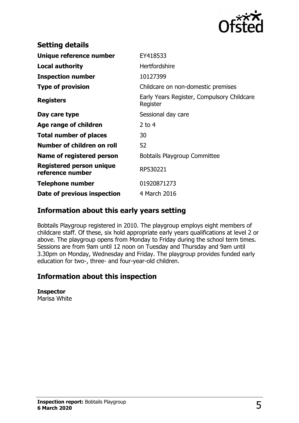

| <b>Setting details</b>                              |                                                        |
|-----------------------------------------------------|--------------------------------------------------------|
| Unique reference number                             | EY418533                                               |
| <b>Local authority</b>                              | <b>Hertfordshire</b>                                   |
| <b>Inspection number</b>                            | 10127399                                               |
| <b>Type of provision</b>                            | Childcare on non-domestic premises                     |
| <b>Registers</b>                                    | Early Years Register, Compulsory Childcare<br>Register |
| Day care type                                       | Sessional day care                                     |
| Age range of children                               | 2 to $4$                                               |
| <b>Total number of places</b>                       | 30                                                     |
| Number of children on roll                          | 52                                                     |
| Name of registered person                           | <b>Bobtails Playgroup Committee</b>                    |
| <b>Registered person unique</b><br>reference number | RP530221                                               |
| <b>Telephone number</b>                             | 01920871273                                            |
| Date of previous inspection                         | 4 March 2016                                           |

#### **Information about this early years setting**

Bobtails Playgroup registered in 2010. The playgroup employs eight members of childcare staff. Of these, six hold appropriate early years qualifications at level 2 or above. The playgroup opens from Monday to Friday during the school term times. Sessions are from 9am until 12 noon on Tuesday and Thursday and 9am until 3.30pm on Monday, Wednesday and Friday. The playgroup provides funded early education for two-, three- and four-year-old children.

## **Information about this inspection**

#### **Inspector**

Marisa White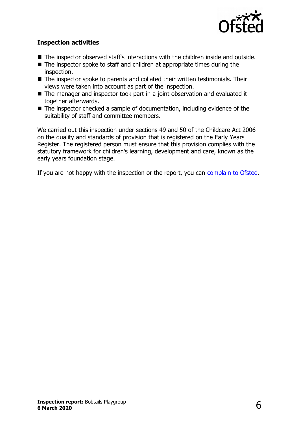

#### **Inspection activities**

- The inspector observed staff's interactions with the children inside and outside.
- $\blacksquare$  The inspector spoke to staff and children at appropriate times during the inspection.
- $\blacksquare$  The inspector spoke to parents and collated their written testimonials. Their views were taken into account as part of the inspection.
- $\blacksquare$  The manager and inspector took part in a joint observation and evaluated it together afterwards.
- $\blacksquare$  The inspector checked a sample of documentation, including evidence of the suitability of staff and committee members.

We carried out this inspection under sections 49 and 50 of the Childcare Act 2006 on the quality and standards of provision that is registered on the Early Years Register. The registered person must ensure that this provision complies with the statutory framework for children's learning, development and care, known as the early years foundation stage.

If you are not happy with the inspection or the report, you can [complain to Ofsted.](http://www.gov.uk/complain-ofsted-report)